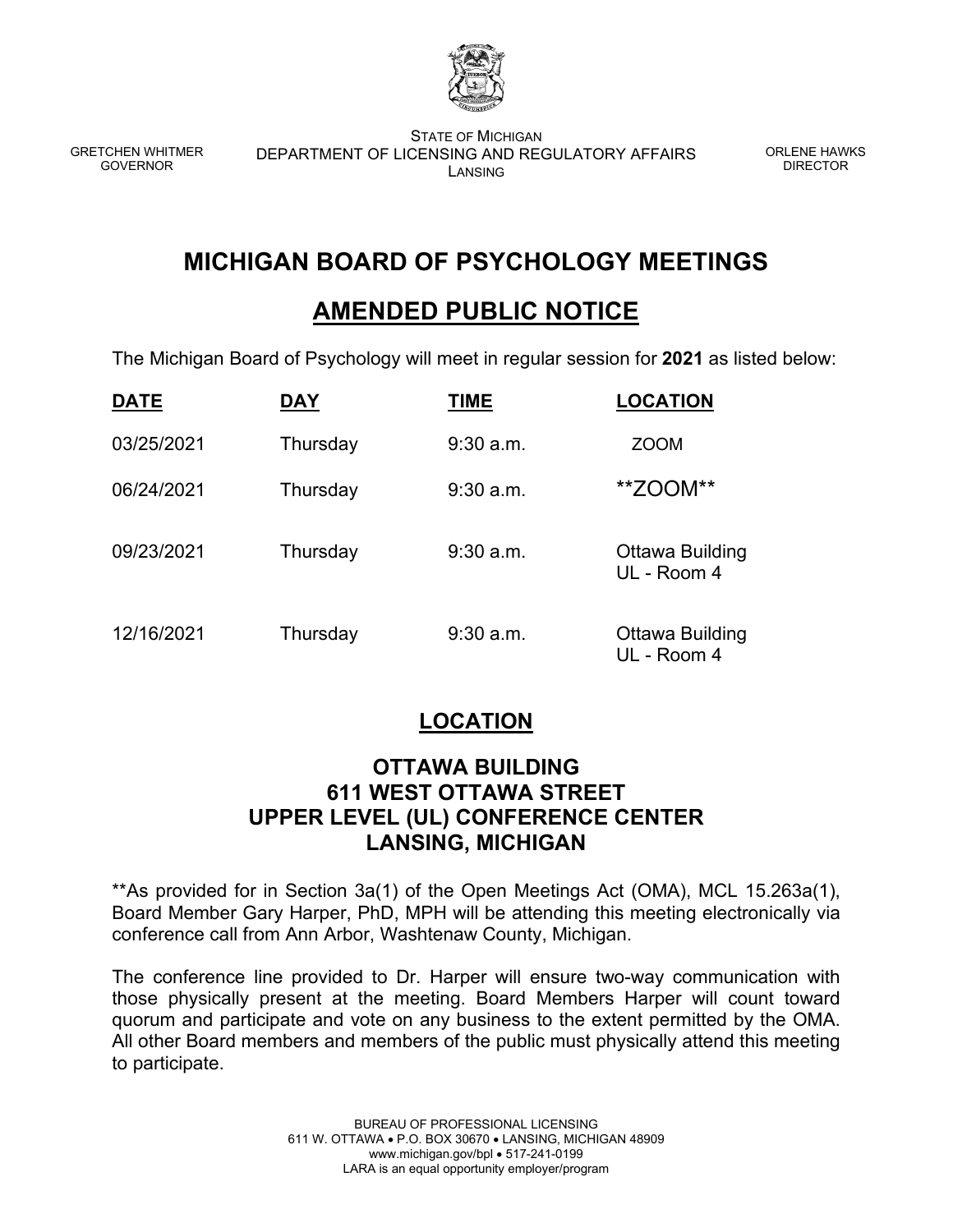

GRETCHEN WHITMER GOVERNOR

STATE OF MICHIGAN DEPARTMENT OF LICENSING AND REGULATORY AFFAIRS LANSING

ORLENE HAWKS DIRECTOR

## **MICHIGAN BOARD OF PSYCHOLOGY MEETINGS**

## **AMENDED PUBLIC NOTICE**

The Michigan Board of Psychology will meet in regular session for **2021** as listed below:

| <b>DATE</b> | DAY      | TIME        | <b>LOCATION</b>                |
|-------------|----------|-------------|--------------------------------|
| 03/25/2021  | Thursday | $9:30$ a.m. | <b>ZOOM</b>                    |
| 06/24/2021  | Thursday | $9:30$ a.m. | **ZOOM**                       |
| 09/23/2021  | Thursday | $9:30$ a.m. | Ottawa Building<br>UL - Room 4 |
| 12/16/2021  | Thursday | $9:30$ a.m. | Ottawa Building<br>UL - Room 4 |

## **LOCATION**

## **OTTAWA BUILDING 611 WEST OTTAWA STREET UPPER LEVEL (UL) CONFERENCE CENTER LANSING, MICHIGAN**

\*\*As provided for in Section 3a(1) of the Open Meetings Act (OMA), MCL 15.263a(1), Board Member Gary Harper, PhD, MPH will be attending this meeting electronically via conference call from Ann Arbor, Washtenaw County, Michigan.

The conference line provided to Dr. Harper will ensure two-way communication with those physically present at the meeting. Board Members Harper will count toward quorum and participate and vote on any business to the extent permitted by the OMA. All other Board members and members of the public must physically attend this meeting to participate.

> BUREAU OF PROFESSIONAL LICENSING 611 W. OTTAWA • P.O. BOX 30670 • LANSING, MICHIGAN 48909 www.michigan.gov/bpl • 517-241-0199 LARA is an equal opportunity employer/program